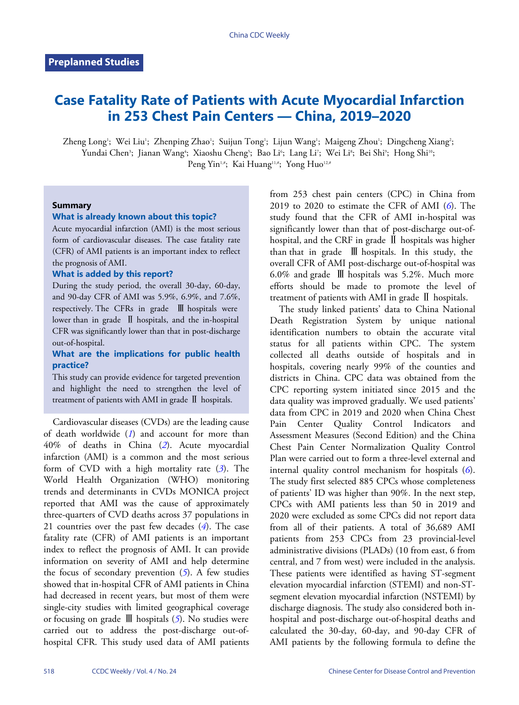# **Case Fatality Rate of Patients with Acute Myocardial Infarction in 253 Chest Pain Centers — China, 2019–2020**

Zheng Long'; Wei Liu'; Zhenping Zhao'; Suijun Tong'; Lijun Wang'; Maigeng Zhou'; Dingcheng Xiang'; Yundai Chen<sup>3</sup>; Jianan Wang<sup>4</sup>; Xiaoshu Cheng<sup>5</sup>; Bao Li<sup>6</sup>; Lang Li<sup>7</sup>; Wei Li<sup>8</sup>; Bei Shi<sup>9</sup>; Hong Shi<sup>10</sup>; Peng Yin<sup>1,#</sup>; Kai Huang<sup>11,#</sup>; Yong Huo<sup>12,#</sup>

## **Summary**

#### **What is already known about this topic?**

Acute myocardial infarction (AMI) is the most serious form of cardiovascular diseases. The case fatality rate (CFR) of AMI patients is an important index to reflect the prognosis of AMI.

## **What is added by this report?**

During the study period, the overall 30-day, 60-day, and 90-day CFR of AMI was 5.9%, 6.9%, and 7.6%, respectively. The CFRs in grade Ⅲ hospitals were lower than in grade  $\mathbb I$  hospitals, and the in-hospital CFR was significantly lower than that in post-discharge out-of-hospital.

## **What are the implications for public health practice?**

This study can provide evidence for targeted prevention and highlight the need to strengthen the level of treatment of patients with AMI in grade Ⅱ hospitals.

Cardiovascular diseases (CVDs) are the leading cause of death worldwide (*[1](#page-3-0)*) and account for more than 40% of deaths in China (*[2](#page-3-1)*). Acute myocardial infarction (AMI) is a common and the most serious form of CVD with a high mortality rate (*[3](#page-3-2)*). The World Health Organization (WHO) monitoring trends and determinants in CVDs MONICA project reported that AMI was the cause of approximately three-quarters of CVD deaths across 37 populations in 21 countries over the past few decades (*[4](#page-3-3)*). The case fatality rate (CFR) of AMI patients is an important index to reflect the prognosis of AMI. It can provide information on severity of AMI and help determine the focus of secondary prevention (*[5](#page-3-4)*). A few studies showed that in-hospital CFR of AMI patients in China had decreased in recent years, but most of them were single-city studies with limited geographical coverage or focusing on grade Ⅲ hospitals (*[5](#page-3-4)*). No studies were carried out to address the post-discharge out-ofhospital CFR. This study used data of AMI patients

from 253 chest pain centers (CPC) in China from 2019 to 2020 to estimate the CFR of AMI (*[6](#page-3-5)*). The study found that the CFR of AMI in-hospital was significantly lower than that of post-discharge out-ofhospital, and the CRF in grade Ⅱ hospitals was higher than that in grade  $\mathbb{I}$  hospitals. In this study, the overall CFR of AMI post-discharge out-of-hospital was 6.0% and grade  $\mathbb{I}$  hospitals was 5.2%. Much more efforts should be made to promote the level of treatment of patients with AMI in grade Ⅱ hospitals.

The study linked patients' data to China National Death Registration System by unique national identification numbers to obtain the accurate vital status for all patients within CPC. The system collected all deaths outside of hospitals and in hospitals, covering nearly 99% of the counties and districts in China. CPC data was obtained from the CPC reporting system initiated since 2015 and the data quality was improved gradually. We used patients' data from CPC in 2019 and 2020 when China Chest Pain Center Quality Control Indicators and Assessment Measures (Second Edition) and the China Chest Pain Center Normalization Quality Control Plan were carried out to form a three-level external and internal quality control mechanism for hospitals (*[6](#page-3-5)*). The study first selected 885 CPCs whose completeness of patients' ID was higher than 90%. In the next step, CPCs with AMI patients less than 50 in 2019 and 2020 were excluded as some CPCs did not report data from all of their patients. A total of 36,689 AMI patients from 253 CPCs from 23 provincial-level administrative divisions (PLADs) (10 from east, 6 from central, and 7 from west) were included in the analysis. These patients were identified as having ST-segment elevation myocardial infarction (STEMI) and non-STsegment elevation myocardial infarction (NSTEMI) by discharge diagnosis. The study also considered both inhospital and post-discharge out-of-hospital deaths and calculated the 30-day, 60-day, and 90-day CFR of AMI patients by the following formula to define the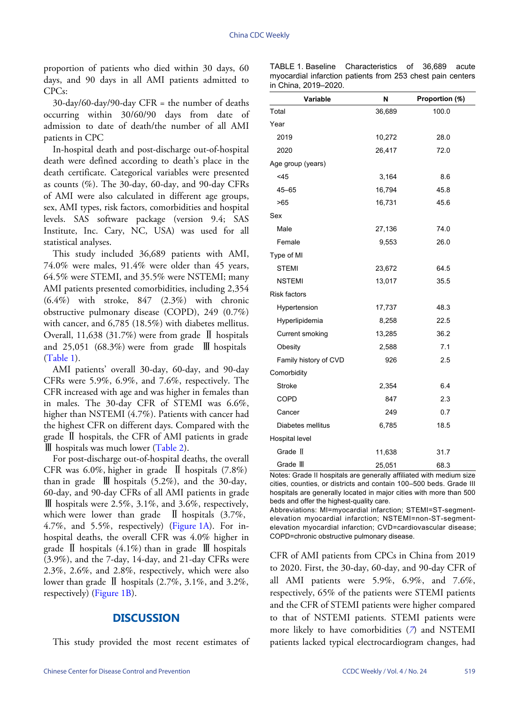proportion of patients who died within 30 days, 60 days, and 90 days in all AMI patients admitted to CPCs:

30-day/60-day/90-day CFR = the number of deaths occurring within 30/60/90 days from date of admission to date of death/the number of all AMI patients in CPC

In-hospital death and post-discharge out-of-hospital death were defined according to death's place in the death certificate. Categorical variables were presented as counts (%). The 30-day, 60-day, and 90-day CFRs of AMI were also calculated in different age groups, sex, AMI types, risk factors, comorbidities and hospital levels. SAS software package (version 9.4; SAS Institute, Inc. Cary, NC, USA) was used for all statistical analyses.

This study included 36,689 patients with AMI, 74.0% were males, 91.4% were older than 45 years, 64.5% were STEMI, and 35.5% were NSTEMI; many AMI patients presented comorbidities, including 2,354  $(6.4\%)$  with stroke,  $847$   $(2.3\%)$  with chronic obstructive pulmonary disease (COPD), 249 (0.7%) with cancer, and 6,785 (18.5%) with diabetes mellitus. Overall, 11,638 (31.7%) were from grade Ⅱ hospitals and  $25,051$  (68.3%) were from grade  $\mathbb{I}$  hospitals ([Table 1](#page-1-0)).

AMI patients' overall 30-day, 60-day, and 90-day CFRs were 5.9%, 6.9%, and 7.6%, respectively. The CFR increased with age and was higher in females than in males. The 30-day CFR of STEMI was 6.6%, higher than NSTEMI (4.7%). Patients with cancer had the highest CFR on different days. Compared with the grade Ⅱ hospitals, the CFR [of AMI](#page-2-0) patients in grade Ⅲ hospitals was much lower [\(Table 2\)](#page-2-0).

For post-discharge out-of-hospital deaths, the overall CFR was 6.0%, higher in grade  $\mathbb{I}$  hospitals (7.8%) than in grade  $\parallel$  hospitals (5.2%), and the 30-day, 60-day, and 90-day CFRs of all AMI patients in grade Ⅲ hospitals were 2.5%, 3.1%, and 3.6%, respectively, which were lower than grade  $\parallel$  [hospital](#page-3-6)s (3.7%, 4.7%, and 5.5%, respectively) ([Figure 1A\)](#page-3-6). For inhospital deaths, the overall CFR was 4.0% higher in grade  $\mathbb I$  hospitals (4.1%) than in grade  $\mathbb I$  hospitals (3.9%), and the 7-day, 14-day, and 21-day CFRs were 2.3%, 2.6%, and 2.8%, respectively, which were also lower than gr[ade](#page-3-6)  $\mathbb{I}$  hospitals (2.7%, 3.1%, and 3.2%, respectively) ([Figure 1B\)](#page-3-6).

## **DISCUSSION**

This study provided the most recent estimates of

<span id="page-1-0"></span>

| TABLE 1. Baseline Characteristics of 36.689 acute          |  |  |  |
|------------------------------------------------------------|--|--|--|
| myocardial infarction patients from 253 chest pain centers |  |  |  |
| in China. 2019–2020.                                       |  |  |  |

| Variable              | N      | Proportion (%) |
|-----------------------|--------|----------------|
| Total                 | 36,689 | 100.0          |
| Year                  |        |                |
| 2019                  | 10,272 | 28.0           |
| 2020                  | 26,417 | 72.0           |
| Age group (years)     |        |                |
| $<$ 45                | 3,164  | 8.6            |
| $45 - 65$             | 16,794 | 45.8           |
| >65                   | 16,731 | 45.6           |
| Sex                   |        |                |
| Male                  | 27,136 | 74.0           |
| Female                | 9,553  | 26.0           |
| Type of MI            |        |                |
| <b>STEMI</b>          | 23,672 | 64.5           |
| <b>NSTEMI</b>         | 13,017 | 35.5           |
| <b>Risk factors</b>   |        |                |
| Hypertension          | 17,737 | 48.3           |
| Hyperlipidemia        | 8,258  | 22.5           |
| Current smoking       | 13,285 | 36.2           |
| Obesity               | 2,588  | 7.1            |
| Family history of CVD | 926    | 2.5            |
| Comorbidity           |        |                |
| <b>Stroke</b>         | 2,354  | 6.4            |
| <b>COPD</b>           | 847    | 2.3            |
| Cancer                | 249    | 0.7            |
| Diabetes mellitus     | 6,785  | 18.5           |
| Hospital level        |        |                |
| Grade II              | 11,638 | 31.7           |
| Grade III             | 25,051 | 68.3           |

Notes: Grade II hospitals are generally affiliated with medium size cities, counties, or districts and contain 100–500 beds. Grade III hospitals are generally located in major cities with more than 500 beds and offer the highest-quality care.

Abbreviations: MI=myocardial infarction; STEMI=ST-segmentelevation myocardial infarction; NSTEMI=non-ST-segmentelevation myocardial infarction; CVD=cardiovascular disease; COPD=chronic obstructive pulmonary disease.

CFR of AMI patients from CPCs in China from 2019 to 2020. First, the 30-day, 60-day, and 90-day CFR of all AMI patients were 5.9%, 6.9%, and 7.6%, respectively, 65% of the patients were STEMI patients and the CFR of STEMI patients were higher compared to that of NSTEMI patients. STE[M](#page-3-7)I patients were more likely to have comorbidities (*[7](#page-3-7)*) and NSTEMI patients lacked typical electrocardiogram changes, had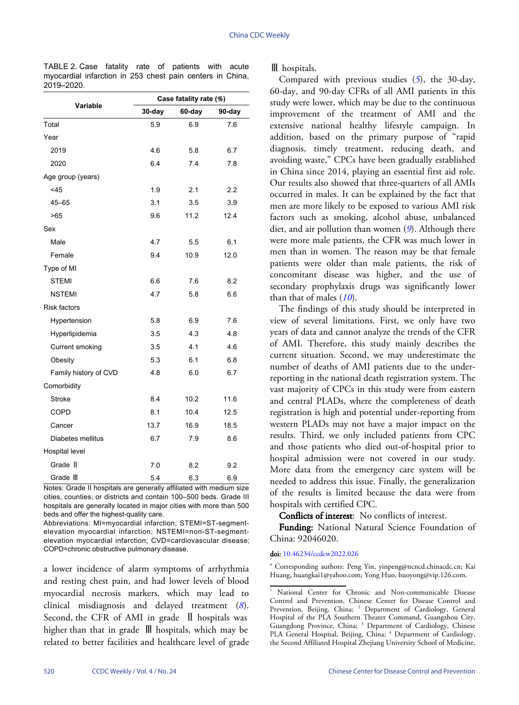<span id="page-2-0"></span>

| TABLE 2. Case fatality rate of patients with acute        |  |  |  |  |
|-----------------------------------------------------------|--|--|--|--|
| myocardial infarction in 253 chest pain centers in China, |  |  |  |  |
| 2019–2020.                                                |  |  |  |  |

|                        | Case fatality rate (%) |        |        |  |  |  |
|------------------------|------------------------|--------|--------|--|--|--|
| Variable               | 30-day                 | 60-day | 90-day |  |  |  |
| Total                  | 5.9                    | 6.9    | 7.6    |  |  |  |
| Year                   |                        |        |        |  |  |  |
| 2019                   | 4.6                    | 5.8    | 6.7    |  |  |  |
| 2020                   | 6.4                    | 7.4    | 7.8    |  |  |  |
| Age group (years)      |                        |        |        |  |  |  |
| <45                    | 1.9                    | 2.1    | 2.2    |  |  |  |
| $45 - 65$              | 3.1                    | 3.5    | 3.9    |  |  |  |
| >65                    | 9.6                    | 11.2   | 12.4   |  |  |  |
| Sex                    |                        |        |        |  |  |  |
| Male                   | 4.7                    | 5.5    | 6.1    |  |  |  |
| Female                 | 9.4                    | 10.9   | 12.0   |  |  |  |
| Type of MI             |                        |        |        |  |  |  |
| <b>STEMI</b>           | 6.6                    | 7.6    | 8.2    |  |  |  |
| <b>NSTEMI</b>          | 4.7                    | 5.8    | 6.6    |  |  |  |
| <b>Risk factors</b>    |                        |        |        |  |  |  |
| Hypertension           | 5.8                    | 6.9    | 7.6    |  |  |  |
| Hyperlipidemia         | 3.5                    | 4.3    | 4.8    |  |  |  |
| <b>Current smoking</b> | 3.5                    | 4.1    | 4.6    |  |  |  |
| Obesity                | 5.3                    | 6.1    | 6.8    |  |  |  |
| Family history of CVD  | 4.8                    | 6.0    | 6.7    |  |  |  |
| Comorbidity            |                        |        |        |  |  |  |
| <b>Stroke</b>          | 8.4                    | 10.2   | 11.6   |  |  |  |
| <b>COPD</b>            | 8.1                    | 10.4   | 12.5   |  |  |  |
| Cancer                 | 13.7                   | 16.9   | 18.5   |  |  |  |
| Diabetes mellitus      | 6.7                    | 7.9    | 8.6    |  |  |  |
| Hospital level         |                        |        |        |  |  |  |
| Grade II               | 7.0                    | 8.2    | 9.2    |  |  |  |
| Grade III              | 5.4                    | 6.3    | 6.9    |  |  |  |

Notes: Grade II hospitals are generally affiliated with medium size cities, counties, or districts and contain 100–500 beds. Grade III hospitals are generally located in major cities with more than 500 beds and offer the highest-quality care.

Abbreviations: MI=myocardial infarction; STEMI=ST-segmentelevation myocardial infarction; NSTEMI=non-ST-segmentelevation myocardial infarction; CVD=cardiovascular disease; COPD=chronic obstructive pulmonary disease.

a lower incidence of alarm symptoms of arrhythmia and resting chest pain, and had lower levels of blood myocardial necrosis markers, which may lead [t](#page-3-8)o clinical misdiagnosis and delayed treatment (*[8](#page-3-8)*). Second, the CFR of AMI in grade  $\mathbb I$  hospitals was higher than that in grade Ⅲ hospitals, which may be related to better facilities and healthcare level of grade Ⅲ hospitals.

Compared with previous studies (*[5](#page-3-4)*), the 30-day, 60-day, and 90-day CFRs of all AMI patients in this study were lower, which may be due to the continuous improvement of the treatment of AMI and the extensive national healthy lifestyle campaign. In addition, based on the primary purpose of "rapid diagnosis, timely treatment, reducing death, and avoiding waste," CPCs have been gradually established in China since 2014, playing an essential first aid role. Our results also showed that three-quarters of all AMIs occurred in males. It can be explained by the fact that men are more likely to be exposed to various AMI risk factors such as smoking, alcohol abuse, unbalanced diet, and air pollution than women (*[9](#page-3-9)*). Although there were more male patients, the CFR was much lower in men than in women. The reason may be that female patients were older than male patients, the risk of concomitant disease was higher, and the use of secondary prophylaxis drugs was significantly lower than that of males (*[10](#page-3-10)*).

The findings of this study should be interpreted in view of several limitations. First, we only have two years of data and cannot analyze the trends of the CFR of AMI. Therefore, this study mainly describes the current situation. Second, we may underestimate the number of deaths of AMI patients due to the underreporting in the national death registration system. The vast majority of CPCs in this study were from eastern and central PLADs, where the completeness of death registration is high and potential under-reporting from western PLADs may not have a major impact on the results. Third, we only included patients from CPC and those patients who died out-of-hospital prior to hospital admission were not covered in our study. More data from the emergency care system will be needed to address this issue. Finally, the generalization of the results is limited because the data were from hospitals with certified CPC.

Conflicts of interest: No conflicts of interest.

Funding: National Natural Science Foundation of China: 92046020.

#### doi: [10.46234/ccdcw2022.026](https://doi.org/10.46234/ccdcw2022.026)

# Corresponding authors: Peng Yin, yinpeng@ncncd.chinacdc.cn; Kai Huang, huangkai1@yahoo.com; Yong Huo, huoyong@vip.126.com.

<sup>&</sup>lt;sup>1</sup> National Center for Chronic and Non-communicable Disease Control and Prevention, Chinese Center for Disease Control and Prevention, Beijing, China; <sup>2</sup> Department of Cardiology, General Hospital of the PLA Southern Theater Command, Guangzhou City, Guangdong Province, China; <sup>3</sup> Department of Cardiology, Chinese PLA General Hospital, Beijing, China; <sup>4</sup> Department of Cardiology, the Second Affiliated Hospital Zhejiang University School of Medicine,